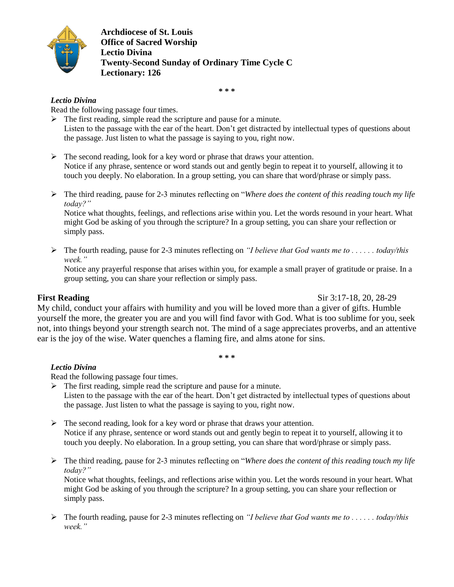

**Archdiocese of St. Louis Office of Sacred Worship Lectio Divina Twenty-Second Sunday of Ordinary Time Cycle C Lectionary: 126**

**\* \* \***

### *Lectio Divina*

Read the following passage four times.

 $\triangleright$  The first reading, simple read the scripture and pause for a minute. Listen to the passage with the ear of the heart. Don't get distracted by intellectual types of questions about the passage. Just listen to what the passage is saying to you, right now.

- $\triangleright$  The second reading, look for a key word or phrase that draws your attention. Notice if any phrase, sentence or word stands out and gently begin to repeat it to yourself, allowing it to touch you deeply. No elaboration. In a group setting, you can share that word/phrase or simply pass.
- The third reading, pause for 2-3 minutes reflecting on "*Where does the content of this reading touch my life today?"*

Notice what thoughts, feelings, and reflections arise within you. Let the words resound in your heart. What might God be asking of you through the scripture? In a group setting, you can share your reflection or simply pass.

 The fourth reading, pause for 2-3 minutes reflecting on *"I believe that God wants me to . . . . . . today/this week."*

Notice any prayerful response that arises within you, for example a small prayer of gratitude or praise. In a group setting, you can share your reflection or simply pass.

**First Reading** Sir 3:17-18, 20, 28-29

My child, conduct your affairs with humility and you will be loved more than a giver of gifts. Humble yourself the more, the greater you are and you will find favor with God. What is too sublime for you, seek not, into things beyond your strength search not. The mind of a sage appreciates proverbs, and an attentive ear is the joy of the wise. Water quenches a flaming fire, and alms atone for sins.

**\* \* \***

## *Lectio Divina*

Read the following passage four times.

- $\triangleright$  The first reading, simple read the scripture and pause for a minute. Listen to the passage with the ear of the heart. Don't get distracted by intellectual types of questions about the passage. Just listen to what the passage is saying to you, right now.
- $\triangleright$  The second reading, look for a key word or phrase that draws your attention. Notice if any phrase, sentence or word stands out and gently begin to repeat it to yourself, allowing it to touch you deeply. No elaboration. In a group setting, you can share that word/phrase or simply pass.
- The third reading, pause for 2-3 minutes reflecting on "*Where does the content of this reading touch my life today?"*

Notice what thoughts, feelings, and reflections arise within you. Let the words resound in your heart. What might God be asking of you through the scripture? In a group setting, you can share your reflection or simply pass.

 The fourth reading, pause for 2-3 minutes reflecting on *"I believe that God wants me to . . . . . . today/this week."*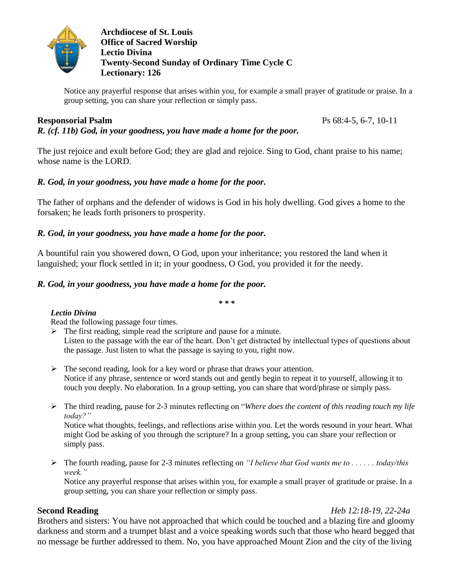

**Archdiocese of St. Louis Office of Sacred Worship Lectio Divina Twenty-Second Sunday of Ordinary Time Cycle C Lectionary: 126**

Notice any prayerful response that arises within you, for example a small prayer of gratitude or praise. In a group setting, you can share your reflection or simply pass.

## **Responsorial Psalm** Ps 68:4-5, 6-7, 10-11

*R. (cf. 11b) God, in your goodness, you have made a home for the poor.*

The just rejoice and exult before God; they are glad and rejoice. Sing to God, chant praise to his name; whose name is the LORD.

## *R. God, in your goodness, you have made a home for the poor.*

The father of orphans and the defender of widows is God in his holy dwelling. God gives a home to the forsaken; he leads forth prisoners to prosperity.

## *R. God, in your goodness, you have made a home for the poor.*

A bountiful rain you showered down, O God, upon your inheritance; you restored the land when it languished; your flock settled in it; in your goodness, O God, you provided it for the needy.

## *R. God, in your goodness, you have made a home for the poor.*

**\* \* \***

### *Lectio Divina*

Read the following passage four times.

- $\triangleright$  The first reading, simple read the scripture and pause for a minute. Listen to the passage with the ear of the heart. Don't get distracted by intellectual types of questions about the passage. Just listen to what the passage is saying to you, right now.
- $\triangleright$  The second reading, look for a key word or phrase that draws your attention. Notice if any phrase, sentence or word stands out and gently begin to repeat it to yourself, allowing it to touch you deeply. No elaboration. In a group setting, you can share that word/phrase or simply pass.
- The third reading, pause for 2-3 minutes reflecting on "*Where does the content of this reading touch my life today?"*

Notice what thoughts, feelings, and reflections arise within you. Let the words resound in your heart. What might God be asking of you through the scripture? In a group setting, you can share your reflection or simply pass.

 The fourth reading, pause for 2-3 minutes reflecting on *"I believe that God wants me to . . . . . . today/this week."*

Notice any prayerful response that arises within you, for example a small prayer of gratitude or praise. In a group setting, you can share your reflection or simply pass.

## **Second Reading** *Heb 12:18-19, 22-24a*

Brothers and sisters: You have not approached that which could be touched and a blazing fire and gloomy darkness and storm and a trumpet blast and a voice speaking words such that those who heard begged that no message be further addressed to them. No, you have approached Mount Zion and the city of the living